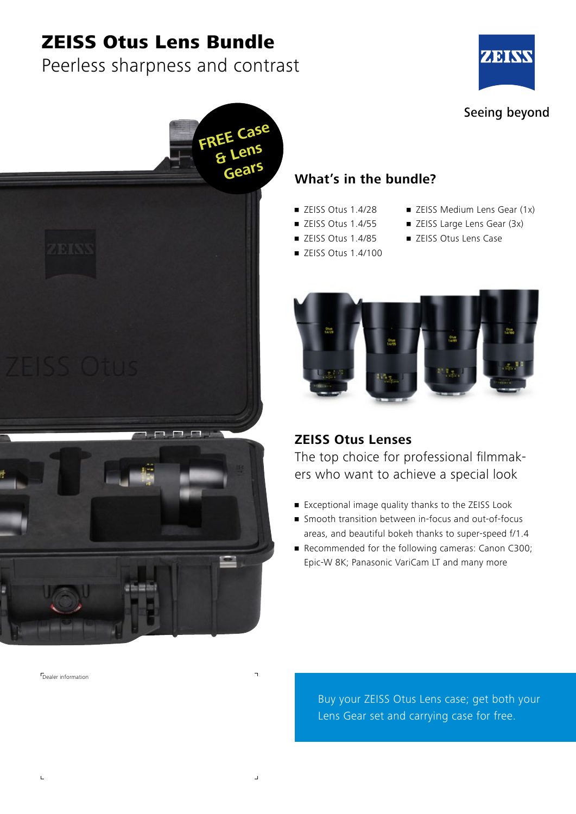# ZEISS Otus Lens Bundle

## Peerless sharpness and contrast





### **What's in the bundle?**

- $\blacksquare$  ZEISS Otus 1.4/28
- ZEISS Otus 1.4/55
- ZEISS Otus 1.4/85
- ZEISS Otus 1.4/100
- ZEISS Medium Lens Gear (1x)
- ZEISS Large Lens Gear (3x)
- ZEISS Otus Lens Case



### **ZEISS Otus Lenses**

The top choice for professional filmmakers who want to achieve a special look

- Exceptional image quality thanks to the ZEISS Look
- Smooth transition between in-focus and out-of-focus areas, and beautiful bokeh thanks to super-speed f/1.4
- Recommended for the following cameras: Canon C300; Epic-W 8K; Panasonic VariCam LT and many more

Buy your ZEISS Otus Lens case; get both your Lens Gear set and carrying case for free.

Dealer information

 $\mathbf{L}$